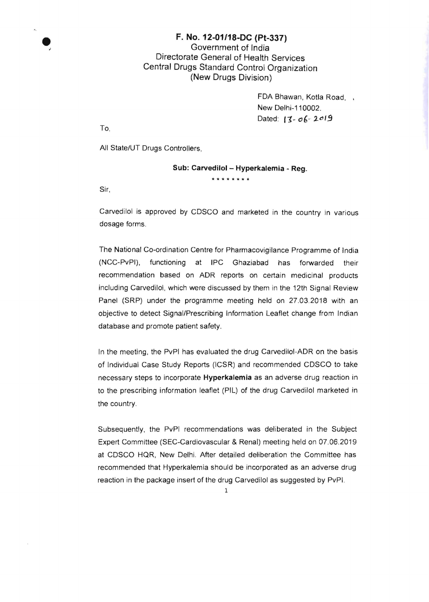## • F. No. 12-01/18-DC (Pt-337) Government of India Directorate General of Health Services Central Drugs Standard Control Organization (New Drugs Division)

FDA Bhawan, Kotla Road, . New Delhi-110002. Dated: 13- *o*6-2019

To,

All State/UT Drugs Controllers,

## Sub: Carvedilol - Hyperkalemia - Reg.

**\*\*\*\*\*\*\*.** 

Sir,

Carvedilol is approved by CDSCO and marketed in the country in various dosage forms.

The National Co-ordination Centre for Pharmacovigilance Programme of India (NCC-PvPI), functioning at IPC Ghaziabad has forwarded their recommendation based on ADR reports on certain medicinal products including Carvedilol, which were discussed by them in the 12th Signal Review Panel (SRP) under the programme meeting held on 27.03.2018 with an objective to detect Signal/Prescribing Information Leaflet change from Indian database and promote patient safety.

In the meeting, the PvPI has evaluated the drug Carvedilol-ADR on the basis of Individual Case Study Reports (ICSR) and recommended CDSCO to take necessary steps to incorporate Hyperkalemia as an adverse drug reaction in to the prescribing information leaflet (PIL) of the drug Carvedilol marketed in the country.

Subsequently. the PvPI recommendations was deliberated in the Subject Expert Committee (SEC-Cardiovascular & Renal) meeting held on 07.06.2019 at CDSCO HQR. New Delhi. After detailed deliberation the Committee has recommended that Hyperkalemia should be incorporated as an adverse drug reaction in the package insert of the drug Carvedilol as suggested by PvPI.